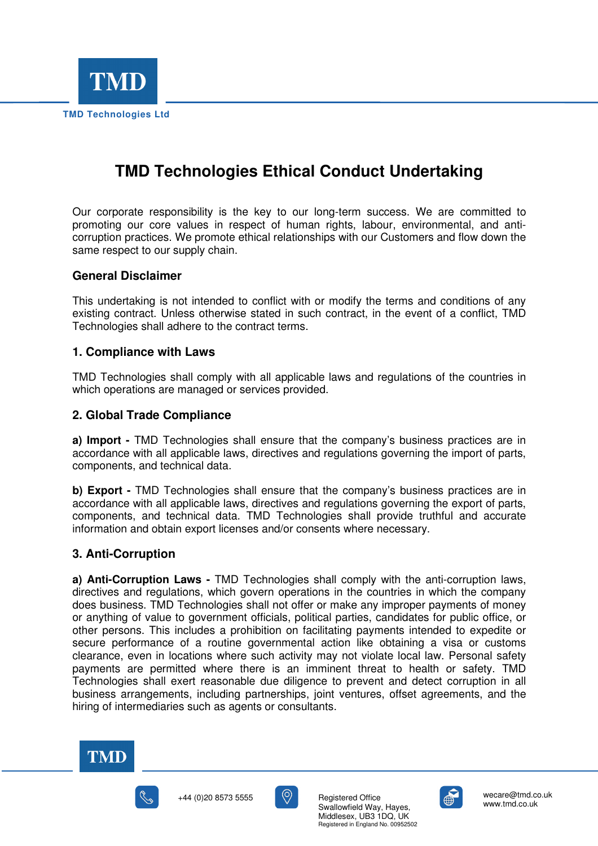

# **TMD Technologies Ethical Conduct Undertaking**

Our corporate responsibility is the key to our long-term success. We are committed to promoting our core values in respect of human rights, labour, environmental, and anticorruption practices. We promote ethical relationships with our Customers and flow down the same respect to our supply chain.

#### **General Disclaimer**

This undertaking is not intended to conflict with or modify the terms and conditions of any existing contract. Unless otherwise stated in such contract, in the event of a conflict, TMD Technologies shall adhere to the contract terms.

#### **1. Compliance with Laws**

TMD Technologies shall comply with all applicable laws and regulations of the countries in which operations are managed or services provided.

#### **2. Global Trade Compliance**

**a) Import -** TMD Technologies shall ensure that the company's business practices are in accordance with all applicable laws, directives and regulations governing the import of parts, components, and technical data.

**b) Export -** TMD Technologies shall ensure that the company's business practices are in accordance with all applicable laws, directives and regulations governing the export of parts, components, and technical data. TMD Technologies shall provide truthful and accurate information and obtain export licenses and/or consents where necessary.

#### **3. Anti-Corruption**

**a) Anti-Corruption Laws -** TMD Technologies shall comply with the anti-corruption laws, directives and regulations, which govern operations in the countries in which the company does business. TMD Technologies shall not offer or make any improper payments of money or anything of value to government officials, political parties, candidates for public office, or other persons. This includes a prohibition on facilitating payments intended to expedite or secure performance of a routine governmental action like obtaining a visa or customs clearance, even in locations where such activity may not violate local law. Personal safety payments are permitted where there is an imminent threat to health or safety. TMD Technologies shall exert reasonable due diligence to prevent and detect corruption in all business arrangements, including partnerships, joint ventures, offset agreements, and the hiring of intermediaries such as agents or consultants.



l,





+44 (0)20 8573 5555 Registered Office Swallowfield Way, Hayes, Middlesex, UB3 1DQ, UK Registered in England No. 00952502



wecare@tmd.co.uk www.tmd.co.uk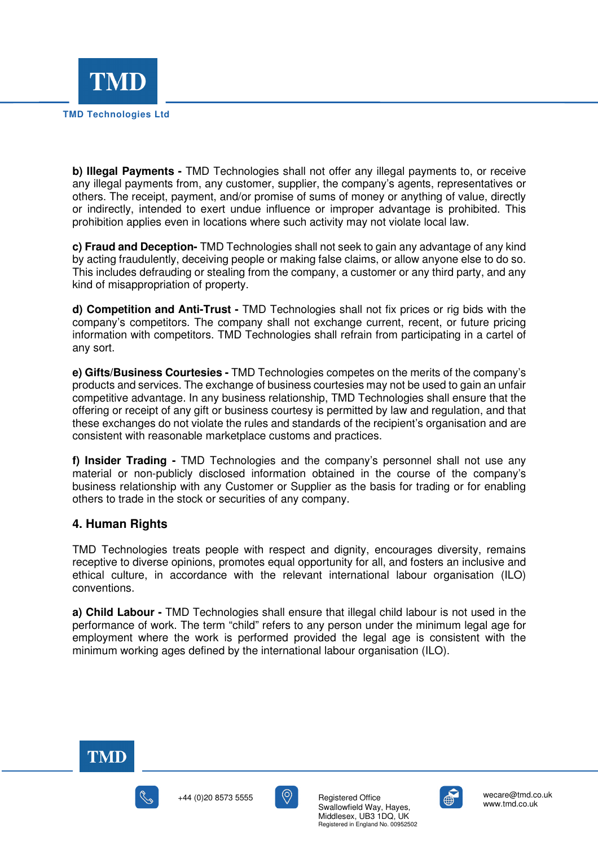

**b) Illegal Payments -** TMD Technologies shall not offer any illegal payments to, or receive any illegal payments from, any customer, supplier, the company's agents, representatives or others. The receipt, payment, and/or promise of sums of money or anything of value, directly or indirectly, intended to exert undue influence or improper advantage is prohibited. This prohibition applies even in locations where such activity may not violate local law.

**c) Fraud and Deception-** TMD Technologies shall not seek to gain any advantage of any kind by acting fraudulently, deceiving people or making false claims, or allow anyone else to do so. This includes defrauding or stealing from the company, a customer or any third party, and any kind of misappropriation of property.

**d) Competition and Anti-Trust -** TMD Technologies shall not fix prices or rig bids with the company's competitors. The company shall not exchange current, recent, or future pricing information with competitors. TMD Technologies shall refrain from participating in a cartel of any sort.

**e) Gifts/Business Courtesies -** TMD Technologies competes on the merits of the company's products and services. The exchange of business courtesies may not be used to gain an unfair competitive advantage. In any business relationship, TMD Technologies shall ensure that the offering or receipt of any gift or business courtesy is permitted by law and regulation, and that these exchanges do not violate the rules and standards of the recipient's organisation and are consistent with reasonable marketplace customs and practices.

**f) Insider Trading -** TMD Technologies and the company's personnel shall not use any material or non-publicly disclosed information obtained in the course of the company's business relationship with any Customer or Supplier as the basis for trading or for enabling others to trade in the stock or securities of any company.

## **4. Human Rights**

TMD Technologies treats people with respect and dignity, encourages diversity, remains receptive to diverse opinions, promotes equal opportunity for all, and fosters an inclusive and ethical culture, in accordance with the relevant international labour organisation (ILO) conventions.

**a) Child Labour -** TMD Technologies shall ensure that illegal child labour is not used in the performance of work. The term "child" refers to any person under the minimum legal age for employment where the work is performed provided the legal age is consistent with the minimum working ages defined by the international labour organisation (ILO).









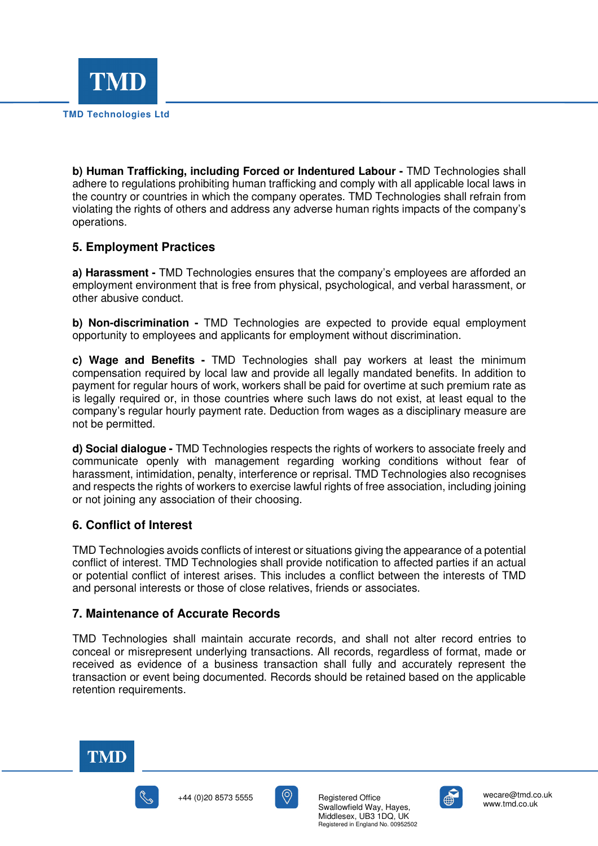

**b) Human Trafficking, including Forced or Indentured Labour -** TMD Technologies shall adhere to regulations prohibiting human trafficking and comply with all applicable local laws in the country or countries in which the company operates. TMD Technologies shall refrain from violating the rights of others and address any adverse human rights impacts of the company's operations.

## **5. Employment Practices**

**a) Harassment -** TMD Technologies ensures that the company's employees are afforded an employment environment that is free from physical, psychological, and verbal harassment, or other abusive conduct.

**b) Non-discrimination -** TMD Technologies are expected to provide equal employment opportunity to employees and applicants for employment without discrimination.

**c) Wage and Benefits -** TMD Technologies shall pay workers at least the minimum compensation required by local law and provide all legally mandated benefits. In addition to payment for regular hours of work, workers shall be paid for overtime at such premium rate as is legally required or, in those countries where such laws do not exist, at least equal to the company's regular hourly payment rate. Deduction from wages as a disciplinary measure are not be permitted.

**d) Social dialogue -** TMD Technologies respects the rights of workers to associate freely and communicate openly with management regarding working conditions without fear of harassment, intimidation, penalty, interference or reprisal. TMD Technologies also recognises and respects the rights of workers to exercise lawful rights of free association, including joining or not joining any association of their choosing.

## **6. Conflict of Interest**

TMD Technologies avoids conflicts of interest or situations giving the appearance of a potential conflict of interest. TMD Technologies shall provide notification to affected parties if an actual or potential conflict of interest arises. This includes a conflict between the interests of TMD and personal interests or those of close relatives, friends or associates.

## **7. Maintenance of Accurate Records**

TMD Technologies shall maintain accurate records, and shall not alter record entries to conceal or misrepresent underlying transactions. All records, regardless of format, made or received as evidence of a business transaction shall fully and accurately represent the transaction or event being documented. Records should be retained based on the applicable retention requirements.







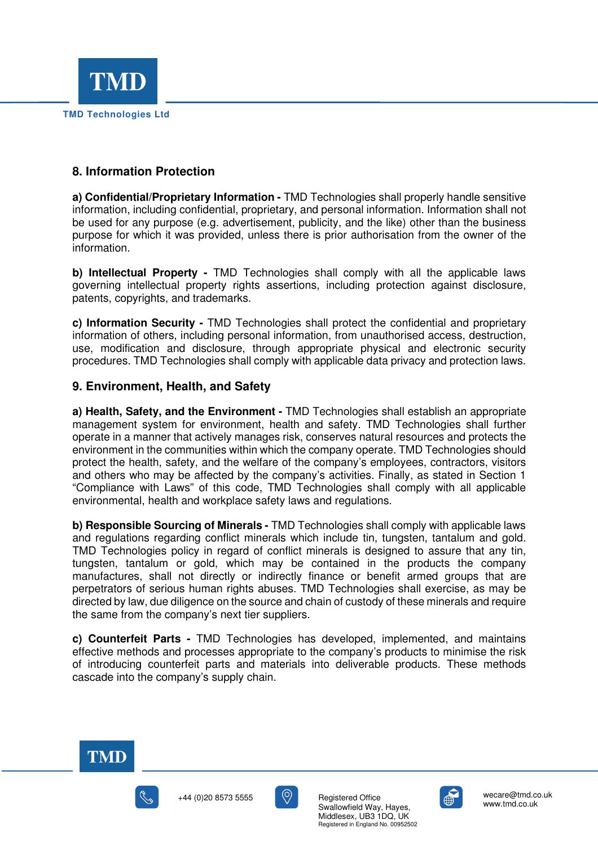

## **8. Information Protection**

**a) Confidential/Proprietary Information -** TMD Technologies shall properly handle sensitive information, including confidential, proprietary, and personal information. Information shall not be used for any purpose (e.g. advertisement, publicity, and the like) other than the business purpose for which it was provided, unless there is prior authorisation from the owner of the information.

**b) Intellectual Property -** TMD Technologies shall comply with all the applicable laws governing intellectual property rights assertions, including protection against disclosure, patents, copyrights, and trademarks.

**c) Information Security -** TMD Technologies shall protect the confidential and proprietary information of others, including personal information, from unauthorised access, destruction, use, modification and disclosure, through appropriate physical and electronic security procedures. TMD Technologies shall comply with applicable data privacy and protection laws.

## **9. Environment, Health, and Safety**

**a) Health, Safety, and the Environment -** TMD Technologies shall establish an appropriate management system for environment, health and safety. TMD Technologies shall further operate in a manner that actively manages risk, conserves natural resources and protects the environment in the communities within which the company operate. TMD Technologies should protect the health, safety, and the welfare of the company's employees, contractors, visitors and others who may be affected by the company's activities. Finally, as stated in Section 1 "Compliance with Laws" of this code, TMD Technologies shall comply with all applicable environmental, health and workplace safety laws and regulations.

**b) Responsible Sourcing of Minerals -** TMD Technologies shall comply with applicable laws and regulations regarding conflict minerals which include tin, tungsten, tantalum and gold. TMD Technologies policy in regard of conflict minerals is designed to assure that any tin, tungsten, tantalum or gold, which may be contained in the products the company manufactures, shall not directly or indirectly finance or benefit armed groups that are perpetrators of serious human rights abuses. TMD Technologies shall exercise, as may be directed by law, due diligence on the source and chain of custody of these minerals and require the same from the company's next tier suppliers.

**c) Counterfeit Parts -** TMD Technologies has developed, implemented, and maintains effective methods and processes appropriate to the company's products to minimise the risk of introducing counterfeit parts and materials into deliverable products. These methods cascade into the company's supply chain.